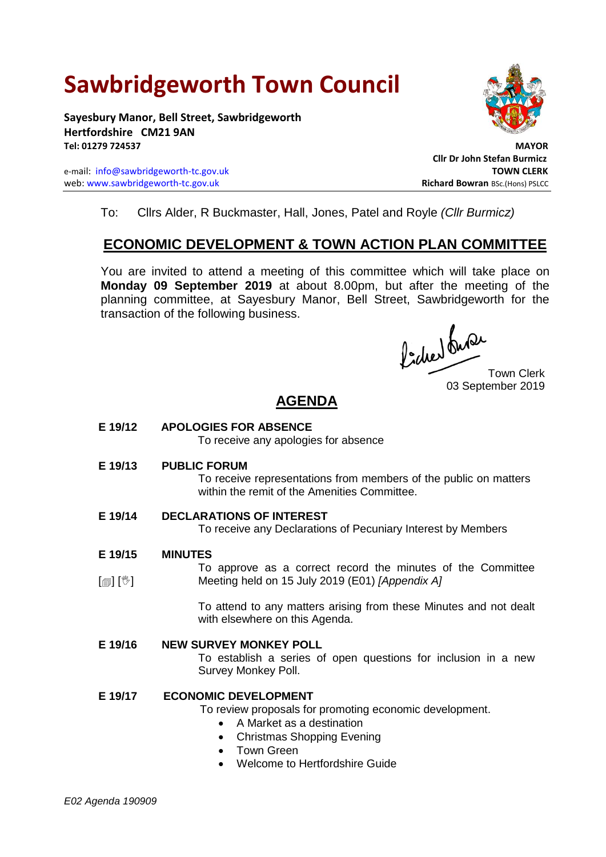# **Sawbridgeworth Town Council**

**Sayesbury Manor, Bell Street, Sawbridgeworth Hertfordshire CM21 9AN Tel: 01279 724537 MAYOR**

e-mail: [info@sawbridgeworth-tc.gov.uk](mailto:info@sawbridgeworth-tc.gov.uk) **TOWN CLERK** web: www.sawbridgeworth-tc.gov.uk<br> **Richard Bowran** BSc.(Hons) PSLCC



**Cllr Dr John Stefan Burmicz**

To: Cllrs Alder, R Buckmaster, Hall, Jones, Patel and Royle *(Cllr Burmicz)*

## **ECONOMIC DEVELOPMENT & TOWN ACTION PLAN COMMITTEE**

You are invited to attend a meeting of this committee which will take place on **Monday 09 September 2019** at about 8.00pm, but after the meeting of the planning committee, at Sayesbury Manor, Bell Street, Sawbridgeworth for the transaction of the following business.

Picked Que

Town Clerk 03 September 2019

# **AGENDA**

**E 19/12 APOLOGIES FOR ABSENCE**

To receive any apologies for absence

**E 19/13 PUBLIC FORUM**

To receive representations from members of the public on matters within the remit of the Amenities Committee.

- **E 19/14 DECLARATIONS OF INTEREST** To receive any Declarations of Pecuniary Interest by Members
- **E 19/15 MINUTES**
- $\lceil$  [ $\mathbb{I} \rceil$   $\lceil \mathbb{C} \rceil$ To approve as a correct record the minutes of the Committee Meeting held on 15 July 2019 (E01) *[Appendix A]*

To attend to any matters arising from these Minutes and not dealt with elsewhere on this Agenda.

## **E 19/16 NEW SURVEY MONKEY POLL**

To establish a series of open questions for inclusion in a new Survey Monkey Poll.

## **E 19/17 ECONOMIC DEVELOPMENT**

- To review proposals for promoting economic development.
	- A Market as a destination
	- Christmas Shopping Evening
	- Town Green
	- Welcome to Hertfordshire Guide